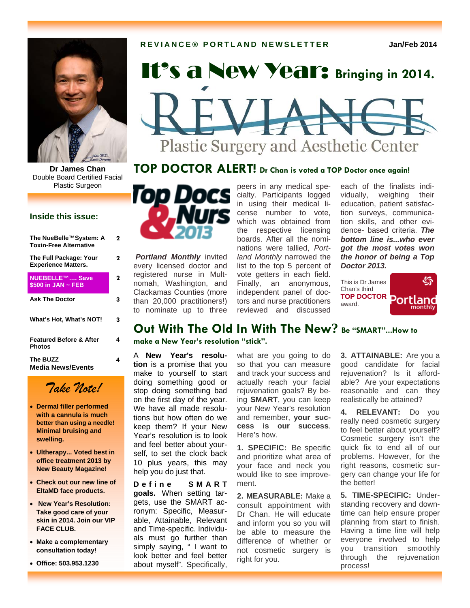

Double Board Certified Facial Plastic Surgeon

## **Inside this issue:**

| The NueBelle™System: A<br><b>Toxin-Free Alternative</b> | 2 |
|---------------------------------------------------------|---|
| The Full Package: Your<br><b>Experience Matters.</b>    | 2 |
| NUEBELLE™ Save<br>\$500 in JAN $\sim$ FEB               | 2 |
| <b>Ask The Doctor</b>                                   | 3 |
| What's Hot, What's NOT!                                 | 3 |
| <b>Featured Before &amp; After</b><br>Photos            | 4 |
| The BUZZ<br>Media News/Events                           | 4 |



- **Dermal filler performed with a cannula is much better than using a needle! Minimal bruising and swelling.**
- **Ultherapy... Voted best in office treatment 2013 by New Beauty Magazine!**
- **Check out our new line of EltaMD face products.**
- **New Year's Resolution: Take good care of your skin in 2014. Join our VIP FACE CLUB.**
- **Make a complementary consultation today!**
- **Office: 503.953.1230**

# **It's a New Year:** Bringing in 2014.

# Plastic Surgery and Aesthetic Center

# **Dr James Chan TOP DOCTOR ALERT! Dr Chan is voted a TOP Doctor once again!**



*Portland Monthly* invited every licensed doctor and registered nurse in Multnomah, Washington, and Clackamas Counties (more than 20,000 practitioners!) to nominate up to three peers in any medical specialty. Participants logged in using their medical license number to vote, which was obtained from the respective licensing boards. After all the nominations were tallied, *Portland Monthly* narrowed the list to the top 5 percent of vote getters in each field. Finally, an anonymous, independent panel of doctors and nurse practitioners reviewed and discussed

each of the finalists individually, weighing their education, patient satisfaction surveys, communication skills, and other evidence- based criteria. *The bottom line is...who ever got the most votes won the honor of being a Top Doctor 2013.*



# **Out With The Old In With The New? Be "SMART"...How to**

**make a New Year's resolution "stick".**

A **New Year's resolution** is a promise that you make to yourself to start doing something good or stop doing something bad on the first day of the year. We have all made resolutions but how often do we keep them? If your New Year's resolution is to look and feel better about yourself, to set the clock back 10 plus years, this may help you do just that.

**D e f i n e S M A R T goals.** When setting targets, use the SMART acronym: Specific, Measurable, Attainable, Relevant and Time-specific. Individuals must go further than simply saying, "I want to look better and feel better about myself". Specifically, what are you going to do so that you can measure and track your success and actually reach your facial rejuvenation goals? By being **SMART**, you can keep your New Year's resolution and remember, **your success is our success**. Here's how.

**1. SPECIFIC:** Be specific and prioritize what area of your face and neck you would like to see improvement.

**2. MEASURABLE:** Make a consult appointment with Dr Chan. He will educate and inform you so you will be able to measure the difference of whether or not cosmetic surgery is right for you.

**3. ATTAINABLE:** Are you a good candidate for facial rejuvenation? Is it affordable? Are your expectations reasonable and can they realistically be attained?

**4. RELEVANT:** Do you really need cosmetic surgery to feel better about yourself? Cosmetic surgery isn't the quick fix to end all of our problems. However, for the right reasons, cosmetic surgery can change your life for the better!

**5. TIME-SPECIFIC:** Understanding recovery and downtime can help ensure proper planning from start to finish. Having a time line will help everyone involved to help you transition smoothly through the rejuvenation process!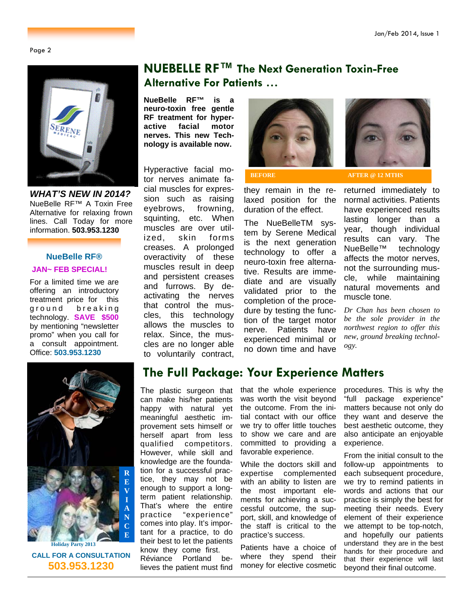Page 2



*WHAT'S NEW IN 2014?*  NueBelle RF™ A Toxin Free Alternative for relaxing frown lines. Call Today for more information. **503.953.1230** 

## **NueBelle RF® JAN~ FEB SPECIAL!**

For a limited time we are offering an introductory treatment price for this ground breaking technology. **SAVE \$500** by mentioning "newsletter promo" when you call for a consult appointment. Office: **503.953.1230**

# **NUEBELLE RF™ The Next Generation Toxin-Free Alternative For Patients …**

**NueBelle RF™ is a neuro-toxin free gentle RF treatment for hyperactive facial motor nerves. This new Technology is available now.** 

Hyperactive facial motor nerves animate facial muscles for expression such as raising eyebrows, frowning, squinting, etc. When muscles are over utilized, skin forms creases. A prolonged overactivity of these muscles result in deep and persistent creases and furrows. By deactivating the nerves that control the muscles, this technology allows the muscles to relax. Since, the muscles are no longer able to voluntarily contract,



they remain in the relaxed position for the duration of the effect.

The NueBelleTM system by Serene Medical is the next generation technology to offer a neuro-toxin free alternative. Results are immediate and are visually validated prior to the completion of the procedure by testing the function of the target motor nerve. Patients have experienced minimal or no down time and have



**BEFORE AFTER @ 12 MTHS** 

returned immediately to normal activities. Patients have experienced results lasting longer than a year, though individual results can vary. The NueBelle™ technology affects the motor nerves, not the surrounding muscle, while maintaining natural movements and muscle tone.

*Dr Chan has been chosen to be the sole provider in the northwest region to offer this new, ground breaking technology.*



**CALL FOR A CONSULTATION 503.953.1230**

# **The Full Package: Your Experience Matters**

The plastic surgeon that can make his/her patients happy with natural yet meaningful aesthetic improvement sets himself or herself apart from less qualified competitors. However, while skill and knowledge are the foundation for a successful practice, they may not be enough to support a longterm patient relationship. That's where the entire practice "experience" comes into play. It's important for a practice, to do their best to let the patients know they come first. … Réviance Portland believes the patient must find

that the whole experience was worth the visit beyond the outcome. From the initial contact with our office we try to offer little touches to show we care and are committed to providing a favorable experience.

While the doctors skill and expertise complemented with an ability to listen are the most important elements for achieving a successful outcome, the support, skill, and knowledge of the staff is critical to the practice's success.

Patients have a choice of where they spend their money for elective cosmetic

procedures. This is why the "full package experience" matters because not only do they want and deserve the best aesthetic outcome, they also anticipate an enjoyable experience.

From the initial consult to the follow-up appointments to each subsequent procedure, we try to remind patients in words and actions that our practice is simply the best for meeting their needs. Every element of their experience we attempt to be top-notch, and hopefully our patients understand they are in the best hands for their procedure and that their experience will last beyond their final outcome.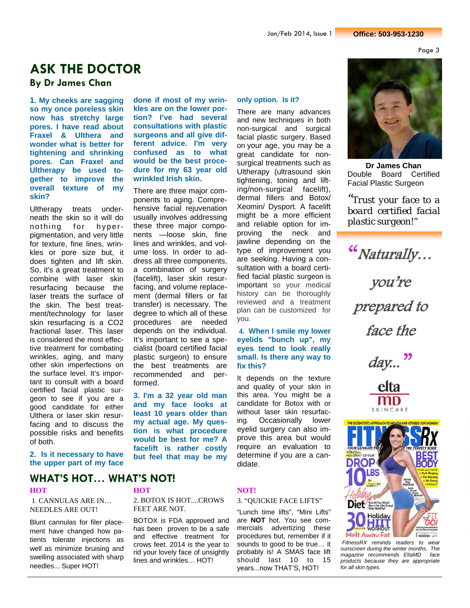Page 3

# **ASK THE DOCTOR**

## **By Dr James Chan**

**1. My cheeks are sagging so my once poreless skin now has stretchy large pores. I have read about Fraxel & Ulthera and wonder what is better for tightening and shrinking pores. Can Fraxel and Ultherapy be used together to improve the overall texture of my skin?** 

Ultherapy treats underneath the skin so it will do nothing for hyperpigmentation, and very little for texture, fine lines, wrinkles or pore size but, it does tighten and lift skin. So, it's a great treatment to combine with laser skin resurfacing because the laser treats the surface of the skin. The best treatment/technology for laser skin resurfacing is a CO2 fractional laser. This laser is considered the most effective treatment for combating wrinkles, aging, and many other skin imperfections on the surface level. It's important to consult with a board certified facial plastic surgeon to see if you are a good candidate for either Ulthera or laser skin resurfacing and to discuss the possible risks and benefits of both.

**done if most of my wrinkles are on the lower portion? I've had several consultations with plastic surgeons and all give different advice. I'm very confused as to what would be the best procedure for my 63 year old wrinkled Irish skin.** 

There are three major components to aging. Comprehensive facial rejuvenation usually involves addressing these three major components —loose skin, fine lines and wrinkles, and volume loss. In order to address all three components, a combination of surgery (facelift), laser skin resurfacing, and volume replacement (dermal fillers or fat transfer) is necessary. The degree to which all of these procedures are needed depends on the individual. It's important to see a specialist (board certified facial plastic surgeon) to ensure the best treatments are recommended and performed.

**3. I'm a 32 year old man and my face looks at least 10 years older than my actual age. My question is what procedure would be best for me? A facelift is rather costly but feel that may be my** 

### **only option. Is it?**

There are many advances and new techniques in both non-surgical and surgical facial plastic surgery. Based on your age, you may be a great candidate for nonsurgical treatments such as Ultherapy (ultrasound skin tightening, toning and lifting/non-surgical facelift), dermal fillers and Botox/ Xeomin/ Dysport. A facelift might be a more efficient and reliable option for improving the neck and jawline depending on the type of improvement you are seeking. Having a consultation with a board certified facial plastic surgeon is important so your medical history can be thoroughly reviewed and a treatment plan can be customized for you.

**4. When I smile my lower eyelids "bunch up", my eyes tend to look really small. Is there any way to fix this?** 

It depends on the texture and quality of your skin in this area. You might be a candidate for Botox with or without laser skin resurfacing. Occasionally lower eyelid surgery can also improve this area but would require an evaluation to determine if you are a candidate.



**Dr James Chan**  Double Board Certified Facial Plastic Surgeon

*"Trust your face to a board certified facial plastic surgeon!"*

"Naturally… you're prepared to face the day... $^{\prime\prime}$ 





 *FitnessRX reminds readers to wear sunscreen during the winter months. The magazine recommends EltaMD face products because they are appropriate for all skin types.* 

## **2. Is it necessary to have the upper part of my face**

# **WHAT'S HOT… WHAT'S NOT!**

 1. CANNULAS ARE IN… NEEDLES ARE OUT!

Blunt cannulas for filer placement have changed how patients tolerate injections as well as minimize bruising and swelling associated with sharp needles... Super HOT!

2. BOTOX IS HOT....CROWS FEET ARE NOT.

BOTOX is FDA approved and has been proven to be a safe and effective treatment for crows feet. 2014 is the year to rid your lovely face of unsightly lines and wrinkles… HOT!

## **HOT NOT!**

## 3. "QUICKIE FACE LIFTS"

"Lunch time lifts", "Mini Lifts" are **NOT** hot. You see commercials advertizing these procedures but, remember if it sounds to good to be true… it probably is! A SMAS face lift should last 10 to 15 years...now THAT'S, HOT!